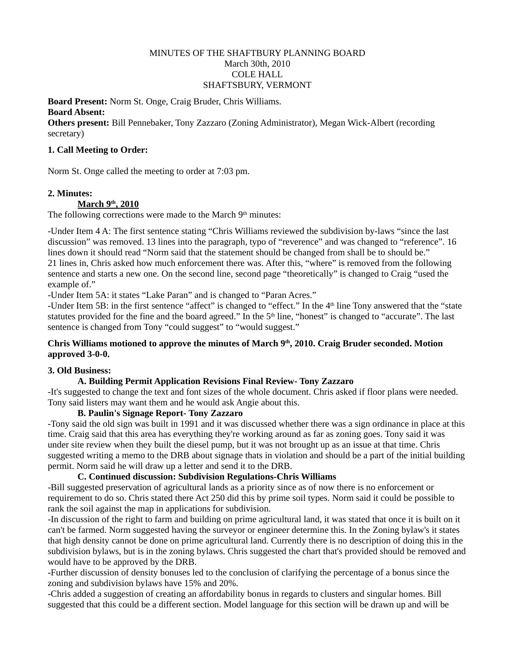## MINUTES OF THE SHAFTBURY PLANNING BOARD March 30th, 2010 COLE HALL SHAFTSBURY, VERMONT

**Board Present:** Norm St. Onge, Craig Bruder, Chris Williams. **Board Absent:** 

**Others present:** Bill Pennebaker, Tony Zazzaro (Zoning Administrator), Megan Wick-Albert (recording secretary)

## **1. Call Meeting to Order:**

Norm St. Onge called the meeting to order at 7:03 pm.

## **2. Minutes:**

## <u>March 9<sup>th</sup>, 2010</u>

The following corrections were made to the March  $9<sup>th</sup>$  minutes:

-Under Item 4 A: The first sentence stating "Chris Williams reviewed the subdivision by-laws "since the last discussion" was removed. 13 lines into the paragraph, typo of "reverence" and was changed to "reference". 16 lines down it should read "Norm said that the statement should be changed from shall be to should be." 21 lines in, Chris asked how much enforcement there was. After this, "where" is removed from the following sentence and starts a new one. On the second line, second page "theoretically" is changed to Craig "used the example of."

-Under Item 5A: it states "Lake Paran" and is changed to "Paran Acres."

-Under Item 5B: in the first sentence "affect" is changed to "effect." In the 4th line Tony answered that the "state statutes provided for the fine and the board agreed." In the  $5<sup>th</sup>$  line, "honest" is changed to "accurate". The last sentence is changed from Tony "could suggest" to "would suggest."

## **Chris Williams motioned to approve the minutes of March 9th, 2010. Craig Bruder seconded. Motion approved 3-0-0.**

# **3. Old Business:**

# **A. Building Permit Application Revisions Final Review- Tony Zazzaro**

-It's suggested to change the text and font sizes of the whole document. Chris asked if floor plans were needed. Tony said listers may want them and he would ask Angie about this.

## **B. Paulin's Signage Report- Tony Zazzaro**

-Tony said the old sign was built in 1991 and it was discussed whether there was a sign ordinance in place at this time. Craig said that this area has everything they're working around as far as zoning goes. Tony said it was under site review when they built the diesel pump, but it was not brought up as an issue at that time. Chris suggested writing a memo to the DRB about signage thats in violation and should be a part of the initial building permit. Norm said he will draw up a letter and send it to the DRB.

# **C. Continued discussion: Subdivision Regulations-Chris Williams**

-Bill suggested preservation of agricultural lands as a priority since as of now there is no enforcement or requirement to do so. Chris stated there Act 250 did this by prime soil types. Norm said it could be possible to rank the soil against the map in applications for subdivision.

-In discussion of the right to farm and building on prime agricultural land, it was stated that once it is built on it can't be farmed. Norm suggested having the surveyor or engineer determine this. In the Zoning bylaw's it states that high density cannot be done on prime agricultural land. Currently there is no description of doing this in the subdivision bylaws, but is in the zoning bylaws. Chris suggested the chart that's provided should be removed and would have to be approved by the DRB.

-Further discussion of density bonuses led to the conclusion of clarifying the percentage of a bonus since the zoning and subdivision bylaws have 15% and 20%.

-Chris added a suggestion of creating an affordability bonus in regards to clusters and singular homes. Bill suggested that this could be a different section. Model language for this section will be drawn up and will be